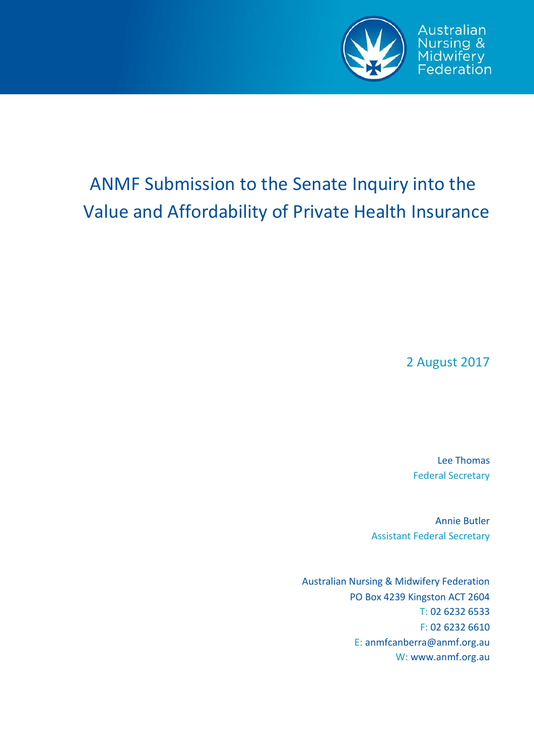

# ANMF Submission to the Senate Inquiry into the Value and Affordability of Private Health Insurance

2 August 2017

Lee Thomas Federal Secretary

Annie Butler Assistant Federal Secretary

Australian Nursing & Midwifery Federation PO Box 4239 Kingston ACT 2604 T: 02 6232 6533 F: 02 6232 6610 E: anmfcanberra@anmf.org.au W: www.anmf.org.au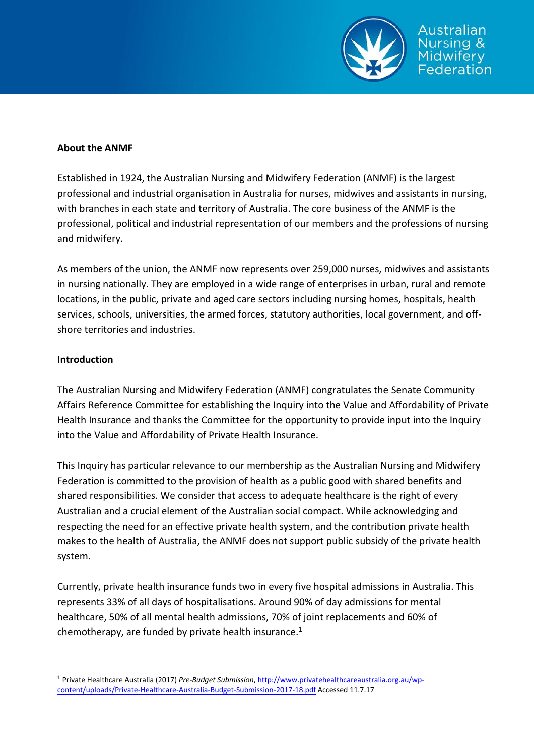

#### **About the ANMF**

Established in 1924, the Australian Nursing and Midwifery Federation (ANMF) is the largest professional and industrial organisation in Australia for nurses, midwives and assistants in nursing, with branches in each state and territory of Australia. The core business of the ANMF is the professional, political and industrial representation of our members and the professions of nursing and midwifery.

As members of the union, the ANMF now represents over 259,000 nurses, midwives and assistants in nursing nationally. They are employed in a wide range of enterprises in urban, rural and remote locations, in the public, private and aged care sectors including nursing homes, hospitals, health services, schools, universities, the armed forces, statutory authorities, local government, and offshore territories and industries.

## **Introduction**

The Australian Nursing and Midwifery Federation (ANMF) congratulates the Senate Community Affairs Reference Committee for establishing the Inquiry into the Value and Affordability of Private Health Insurance and thanks the Committee for the opportunity to provide input into the Inquiry into the Value and Affordability of Private Health Insurance.

This Inquiry has particular relevance to our membership as the Australian Nursing and Midwifery Federation is committed to the provision of health as a public good with shared benefits and shared responsibilities. We consider that access to adequate healthcare is the right of every Australian and a crucial element of the Australian social compact. While acknowledging and respecting the need for an effective private health system, and the contribution private health makes to the health of Australia, the ANMF does not support public subsidy of the private health system.

Currently, private health insurance funds two in every five hospital admissions in Australia. This represents 33% of all days of hospitalisations. Around 90% of day admissions for mental healthcare, 50% of all mental health admissions, 70% of joint replacements and 60% of chemotherapy, are funded by private health insurance. $1$ 

<sup>1</sup> Private Healthcare Australia (2017) *Pre-Budget Submission*[, http://www.privatehealthcareaustralia.org.au/wp](http://www.privatehealthcareaustralia.org.au/wp-content/uploads/Private-Healthcare-Australia-Budget-Submission-2017-18.pdf)[content/uploads/Private-Healthcare-Australia-Budget-Submission-2017-18.pdf](http://www.privatehealthcareaustralia.org.au/wp-content/uploads/Private-Healthcare-Australia-Budget-Submission-2017-18.pdf) Accessed 11.7.17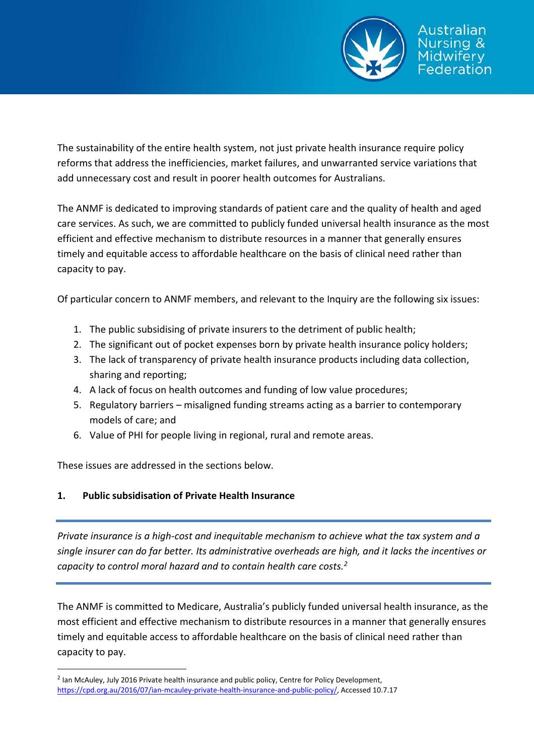

The sustainability of the entire health system, not just private health insurance require policy reforms that address the inefficiencies, market failures, and unwarranted service variations that add unnecessary cost and result in poorer health outcomes for Australians.

The ANMF is dedicated to improving standards of patient care and the quality of health and aged care services. As such, we are committed to publicly funded universal health insurance as the most efficient and effective mechanism to distribute resources in a manner that generally ensures timely and equitable access to affordable healthcare on the basis of clinical need rather than capacity to pay.

Of particular concern to ANMF members, and relevant to the Inquiry are the following six issues:

- 1. The public subsidising of private insurers to the detriment of public health;
- 2. The significant out of pocket expenses born by private health insurance policy holders;
- 3. The lack of transparency of private health insurance products including data collection, sharing and reporting;
- 4. A lack of focus on health outcomes and funding of low value procedures;
- 5. Regulatory barriers misaligned funding streams acting as a barrier to contemporary models of care; and
- 6. Value of PHI for people living in regional, rural and remote areas.

These issues are addressed in the sections below.

## **1. Public subsidisation of Private Health Insurance**

*Private insurance is a high-cost and inequitable mechanism to achieve what the tax system and a single insurer can do far better. Its administrative overheads are high, and it lacks the incentives or capacity to control moral hazard and to contain health care costs.<sup>2</sup>*

The ANMF is committed to Medicare, Australia's publicly funded universal health insurance, as the most efficient and effective mechanism to distribute resources in a manner that generally ensures timely and equitable access to affordable healthcare on the basis of clinical need rather than capacity to pay.

<sup>&</sup>lt;sup>2</sup> Ian McAuley, July 2016 Private health insurance and public policy, Centre for Policy Development, [https://cpd.org.au/2016/07/ian-mcauley-private-health-insurance-and-public-policy/,](https://cpd.org.au/2016/07/ian-mcauley-private-health-insurance-and-public-policy/) Accessed 10.7.17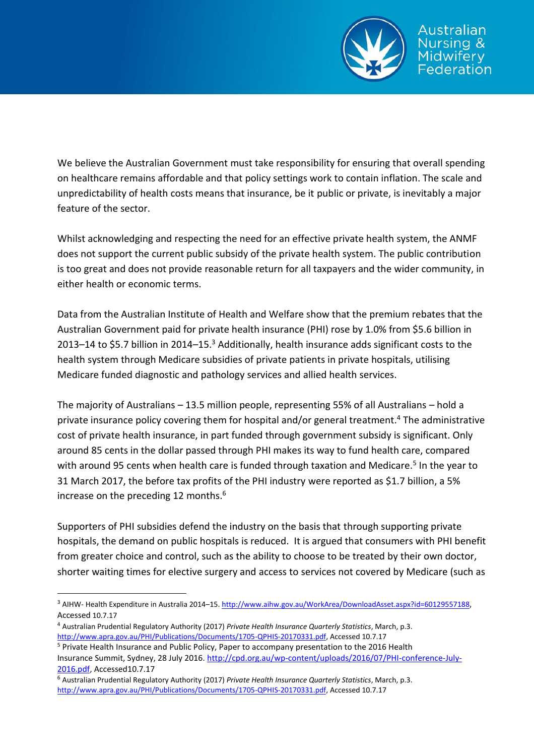

We believe the Australian Government must take responsibility for ensuring that overall spending on healthcare remains affordable and that policy settings work to contain inflation. The scale and unpredictability of health costs means that insurance, be it public or private, is inevitably a major feature of the sector.

Whilst acknowledging and respecting the need for an effective private health system, the ANMF does not support the current public subsidy of the private health system. The public contribution is too great and does not provide reasonable return for all taxpayers and the wider community, in either health or economic terms.

Data from the Australian Institute of Health and Welfare show that the premium rebates that the Australian Government paid for private health insurance (PHI) rose by 1.0% from \$5.6 billion in 2013–14 to \$5.7 billion in 2014–15.<sup>3</sup> Additionally, health insurance adds significant costs to the health system through Medicare subsidies of private patients in private hospitals, utilising Medicare funded diagnostic and pathology services and allied health services.

The majority of Australians – 13.5 million people, representing 55% of all Australians – hold a private insurance policy covering them for hospital and/or general treatment.<sup>4</sup> The administrative cost of private health insurance, in part funded through government subsidy is significant. Only around 85 cents in the dollar passed through PHI makes its way to fund health care, compared with around 95 cents when health care is funded through taxation and Medicare.<sup>5</sup> In the year to 31 March 2017, the before tax profits of the PHI industry were reported as \$1.7 billion, a 5% increase on the preceding 12 months. $6$ 

Supporters of PHI subsidies defend the industry on the basis that through supporting private hospitals, the demand on public hospitals is reduced. It is argued that consumers with PHI benefit from greater choice and control, such as the ability to choose to be treated by their own doctor, shorter waiting times for elective surgery and access to services not covered by Medicare (such as

<sup>&</sup>lt;sup>3</sup> AIHW- Health Expenditure in Australia 2014–15[. http://www.aihw.gov.au/WorkArea/DownloadAsset.aspx?id=60129557188](http://www.aihw.gov.au/WorkArea/DownloadAsset.aspx?id=60129557188), Accessed 10.7.17

<sup>4</sup> Australian Prudential Regulatory Authority (2017) *Private Health Insurance Quarterly Statistics*, March, p.3. [http://www.apra.gov.au/PHI/Publications/Documents/1705-QPHIS-20170331.pdf,](http://www.apra.gov.au/PHI/Publications/Documents/1705-QPHIS-20170331.pdf) Accessed 10.7.17

<sup>&</sup>lt;sup>5</sup> Private Health Insurance and Public Policy, Paper to accompany presentation to the 2016 Health Insurance Summit, Sydney, 28 July 2016. [http://cpd.org.au/wp-content/uploads/2016/07/PHI-conference-July-](http://cpd.org.au/wp-content/uploads/2016/07/PHI-conference-July-2016.pdf)[2016.pdf,](http://cpd.org.au/wp-content/uploads/2016/07/PHI-conference-July-2016.pdf) Accessed10.7.17

<sup>6</sup> Australian Prudential Regulatory Authority (2017) *Private Health Insurance Quarterly Statistics*, March, p.3. [http://www.apra.gov.au/PHI/Publications/Documents/1705-QPHIS-20170331.pdf,](http://www.apra.gov.au/PHI/Publications/Documents/1705-QPHIS-20170331.pdf) Accessed 10.7.17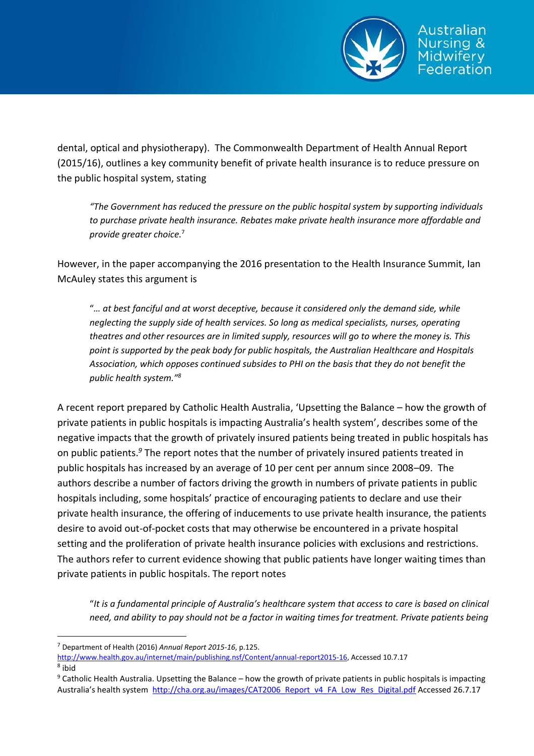

dental, optical and physiotherapy). The Commonwealth Department of Health Annual Report (2015/16), outlines a key community benefit of private health insurance is to reduce pressure on the public hospital system, stating

*"The Government has reduced the pressure on the public hospital system by supporting individuals to purchase private health insurance. Rebates make private health insurance more affordable and provide greater choice.*<sup>7</sup>

However, in the paper accompanying the 2016 presentation to the Health Insurance Summit, Ian McAuley states this argument is

"*… at best fanciful and at worst deceptive, because it considered only the demand side, while neglecting the supply side of health services. So long as medical specialists, nurses, operating theatres and other resources are in limited supply, resources will go to where the money is. This point is supported by the peak body for public hospitals, the Australian Healthcare and Hospitals Association, which opposes continued subsides to PHI on the basis that they do not benefit the public health system."<sup>8</sup>*

A recent report prepared by Catholic Health Australia, 'Upsetting the Balance – how the growth of private patients in public hospitals is impacting Australia's health system', describes some of the negative impacts that the growth of privately insured patients being treated in public hospitals has on public patients.*<sup>9</sup>* The report notes that the number of privately insured patients treated in public hospitals has increased by an average of 10 per cent per annum since 2008–09. The authors describe a number of factors driving the growth in numbers of private patients in public hospitals including, some hospitals' practice of encouraging patients to declare and use their private health insurance, the offering of inducements to use private health insurance, the patients desire to avoid out-of-pocket costs that may otherwise be encountered in a private hospital setting and the proliferation of private health insurance policies with exclusions and restrictions. The authors refer to current evidence showing that public patients have longer waiting times than private patients in public hospitals. The report notes

"*It is a fundamental principle of Australia's healthcare system that access to care is based on clinical need, and ability to pay should not be a factor in waiting times for treatment. Private patients being* 

8 ibid

<sup>7</sup> Department of Health (2016) *Annual Report 2015-16*, p.125.

[http://www.health.gov.au/internet/main/publishing.nsf/Content/annual-report2015-16,](http://www.health.gov.au/internet/main/publishing.nsf/Content/annual-report2015-16) Accessed 10.7.17

 $9$  Catholic Health Australia. Upsetting the Balance – how the growth of private patients in public hospitals is impacting Australia's health system http://cha.org.au/images/CAT2006 Report\_v4\_FA\_Low\_Res\_Digital.pdf Accessed 26.7.17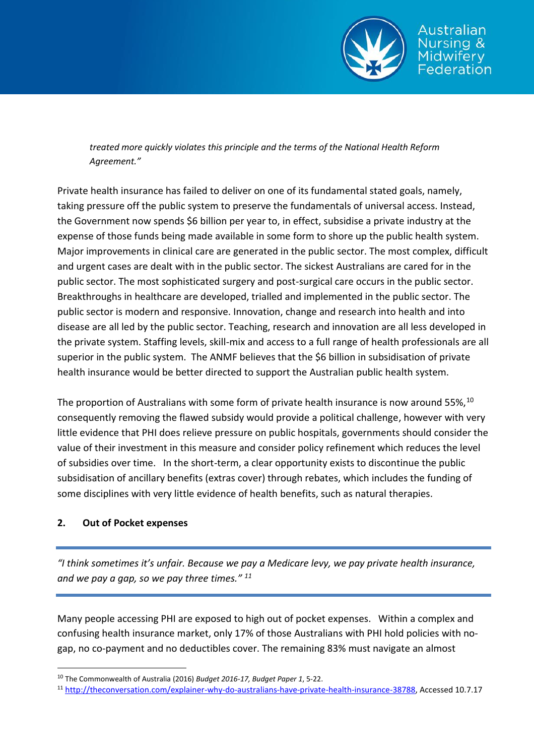

idwiferv ederation

*treated more quickly violates this principle and the terms of the National Health Reform Agreement."*

Private health insurance has failed to deliver on one of its fundamental stated goals, namely, taking pressure off the public system to preserve the fundamentals of universal access. Instead, the Government now spends \$6 billion per year to, in effect, subsidise a private industry at the expense of those funds being made available in some form to shore up the public health system. Major improvements in clinical care are generated in the public sector. The most complex, difficult and urgent cases are dealt with in the public sector. The sickest Australians are cared for in the public sector. The most sophisticated surgery and post-surgical care occurs in the public sector. Breakthroughs in healthcare are developed, trialled and implemented in the public sector. The public sector is modern and responsive. Innovation, change and research into health and into disease are all led by the public sector. Teaching, research and innovation are all less developed in the private system. Staffing levels, skill-mix and access to a full range of health professionals are all superior in the public system. The ANMF believes that the \$6 billion in subsidisation of private health insurance would be better directed to support the Australian public health system.

The proportion of Australians with some form of private health insurance is now around 55%,  $^{10}$ consequently removing the flawed subsidy would provide a political challenge, however with very little evidence that PHI does relieve pressure on public hospitals, governments should consider the value of their investment in this measure and consider policy refinement which reduces the level of subsidies over time. In the short-term, a clear opportunity exists to discontinue the public subsidisation of ancillary benefits (extras cover) through rebates, which includes the funding of some disciplines with very little evidence of health benefits, such as natural therapies.

## **2. Out of Pocket expenses**

 $\overline{a}$ 

*"I think sometimes it's unfair. Because we pay a Medicare levy, we pay private health insurance, and we pay a gap, so we pay three times." <sup>11</sup>*

Many people accessing PHI are exposed to high out of pocket expenses. Within a complex and confusing health insurance market, only 17% of those Australians with PHI hold policies with no‐ gap, no co‐payment and no deductibles cover. The remaining 83% must navigate an almost

<sup>10</sup> The Commonwealth of Australia (2016) *Budget 2016-17, Budget Paper 1*, 5-22.

<sup>11</sup> [http://theconversation.com/explainer-why-do-australians-have-private-health-insurance-38788,](http://theconversation.com/explainer-why-do-australians-have-private-health-insurance-38788) Accessed 10.7.17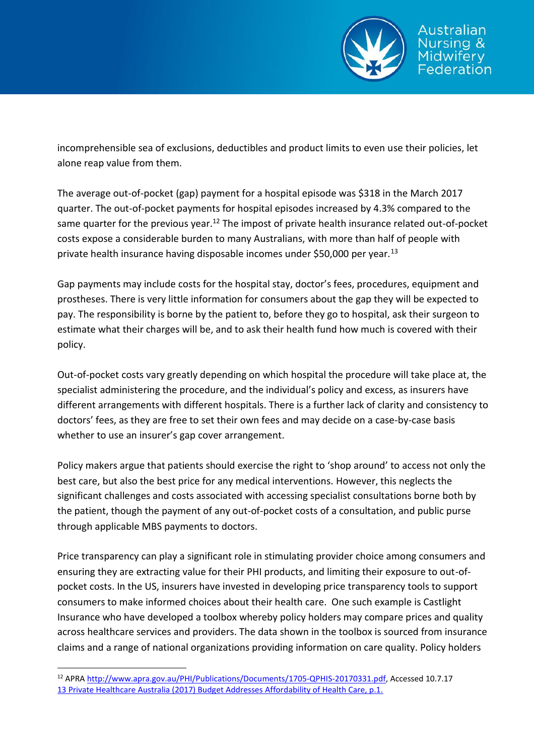

incomprehensible sea of exclusions, deductibles and product limits to even use their policies, let alone reap value from them.

The average out-of-pocket (gap) payment for a hospital episode was \$318 in the March 2017 quarter. The out-of-pocket payments for hospital episodes increased by 4.3% compared to the same quarter for the previous year.<sup>12</sup> The impost of private health insurance related out-of-pocket costs expose a considerable burden to many Australians, with more than half of people with private health insurance having disposable incomes under \$50,000 per year.<sup>13</sup>

Gap payments may include costs for the hospital stay, doctor's fees, procedures, equipment and prostheses. There is very little information for consumers about the gap they will be expected to pay. The responsibility is borne by the patient to, before they go to hospital, ask their surgeon to estimate what their charges will be, and to ask their health fund how much is covered with their policy.

Out-of-pocket costs vary greatly depending on which hospital the procedure will take place at, the specialist administering the procedure, and the individual's policy and excess, as insurers have different arrangements with different hospitals. There is a further lack of clarity and consistency to doctors' fees, as they are free to set their own fees and may decide on a case-by-case basis whether to use an insurer's gap cover arrangement.

Policy makers argue that patients should exercise the right to 'shop around' to access not only the best care, but also the best price for any medical interventions. However, this neglects the significant challenges and costs associated with accessing specialist consultations borne both by the patient, though the payment of any out-of-pocket costs of a consultation, and public purse through applicable MBS payments to doctors.

Price transparency can play a significant role in stimulating provider choice among consumers and ensuring they are extracting value for their PHI products, and limiting their exposure to out-ofpocket costs. In the US, insurers have invested in developing price transparency tools to support consumers to make informed choices about their health care. One such example is Castlight Insurance who have developed a toolbox whereby policy holders may compare prices and quality across healthcare services and providers. The data shown in the toolbox is sourced from insurance claims and a range of national organizations providing information on care quality. Policy holders

<sup>12</sup> APRA [http://www.apra.gov.au/PHI/Publications/Documents/1705-QPHIS-20170331.pdf,](http://www.apra.gov.au/PHI/Publications/Documents/1705-QPHIS-20170331.pdf) Accessed 10.7.17 13 Private Healthcare Australia (2017) Budget Addresses Affordability of Health Care, p.1.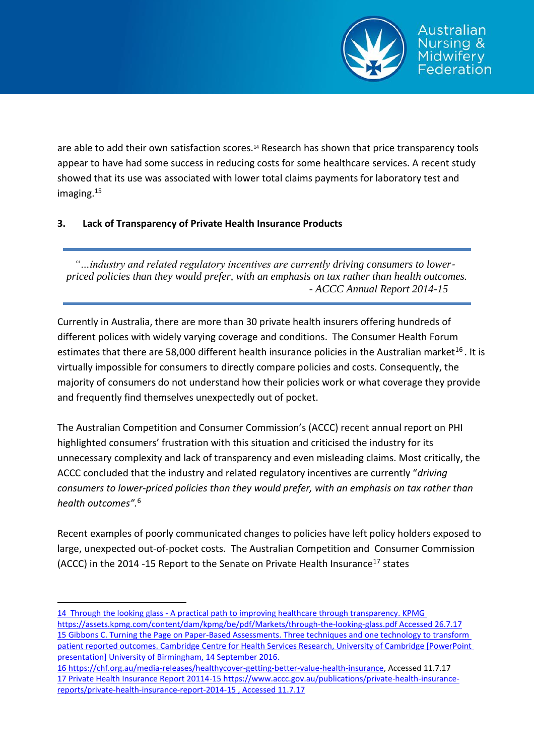

are able to add their own satisfaction scores.<sup>14</sup> Research has shown that price transparency tools appear to have had some success in reducing costs for some healthcare services. A recent study showed that its use was associated with lower total claims payments for laboratory test and imaging.<sup>15</sup>

# **3. Lack of Transparency of Private Health Insurance Products**

*"…industry and related regulatory incentives are currently driving consumers to lower*‐ *priced policies than they would prefer, with an emphasis on tax rather than health outcomes. - ACCC Annual Report 2014-15*

Currently in Australia, there are more than 30 private health insurers offering hundreds of different polices with widely varying coverage and conditions. The Consumer Health Forum estimates that there are 58,000 different health insurance policies in the Australian market<sup>16</sup>. It is virtually impossible for consumers to directly compare policies and costs. Consequently, the majority of consumers do not understand how their policies work or what coverage they provide and frequently find themselves unexpectedly out of pocket.

The Australian Competition and Consumer Commission's (ACCC) recent annual report on PHI highlighted consumers' frustration with this situation and criticised the industry for its unnecessary complexity and lack of transparency and even misleading claims. Most critically, the ACCC concluded that the industry and related regulatory incentives are currently "*driving consumers to lower‐priced policies than they would prefer, with an emphasis on tax rather than health outcomes".*<sup>6</sup>

Recent examples of poorly communicated changes to policies have left policy holders exposed to large, unexpected out-of-pocket costs. The Australian Competition and Consumer Commission (ACCC) in the 2014 -15 Report to the Senate on Private Health Insurance<sup>17</sup> states

<sup>14</sup> Through the looking glass - A practical path to improving healthcare through transparency. KPMG https://assets.kpmg.com/content/dam/kpmg/be/pdf/Markets/through-the-looking-glass.pdf Accessed 26.7.17 15 Gibbons C. Turning the Page on Paper-Based Assessments. Three techniques and one technology to transform patient reported outcomes. Cambridge Centre for Health Services Research, University of Cambridge [PowerPoint presentation] University of Birmingham, 14 September 2016.

<sup>16</sup> [https://chf.org.au/media-releases/healthycover-getting-better-value-health-insurance,](https://chf.org.au/media-releases/healthycover-getting-better-value-health-insurance) Accessed 11.7.17 17 Private Health Insurance Report 20114-15 https://www.accc.gov.au/publications/private-health-insurancereports/private-health-insurance-report-2014-15 , Accessed 11.7.17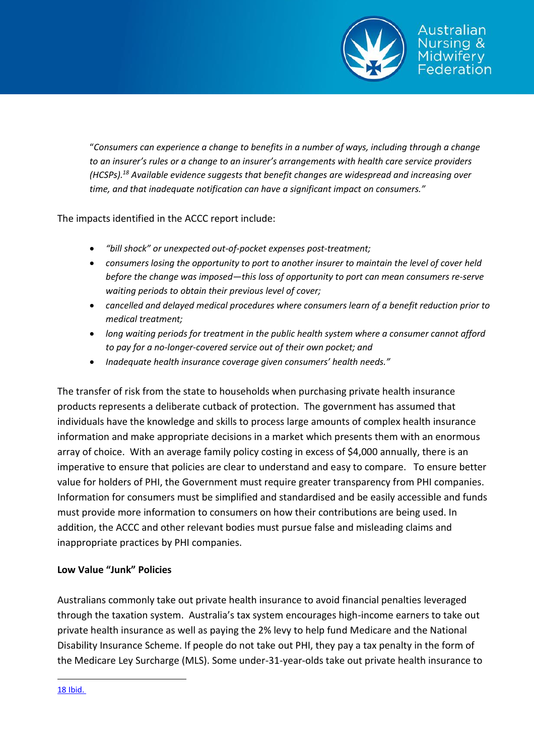

"*Consumers can experience a change to benefits in a number of ways, including through a change to an insurer's rules or a change to an insurer's arrangements with health care service providers (HCSPs).<sup>18</sup> Available evidence suggests that benefit changes are widespread and increasing over time, and that inadequate notification can have a significant impact on consumers."* 

The impacts identified in the ACCC report include:

- *"bill shock" or unexpected out-of-pocket expenses post-treatment;*
- *consumers losing the opportunity to port to another insurer to maintain the level of cover held before the change was imposed—this loss of opportunity to port can mean consumers re-serve waiting periods to obtain their previous level of cover;*
- *cancelled and delayed medical procedures where consumers learn of a benefit reduction prior to medical treatment;*
- *long waiting periods for treatment in the public health system where a consumer cannot afford to pay for a no-longer-covered service out of their own pocket; and*
- *Inadequate health insurance coverage given consumers' health needs."*

The transfer of risk from the state to households when purchasing private health insurance products represents a deliberate cutback of protection. The government has assumed that individuals have the knowledge and skills to process large amounts of complex health insurance information and make appropriate decisions in a market which presents them with an enormous array of choice. With an average family policy costing in excess of \$4,000 annually, there is an imperative to ensure that policies are clear to understand and easy to compare. To ensure better value for holders of PHI, the Government must require greater transparency from PHI companies. Information for consumers must be simplified and standardised and be easily accessible and funds must provide more information to consumers on how their contributions are being used. In addition, the ACCC and other relevant bodies must pursue false and misleading claims and inappropriate practices by PHI companies.

## **Low Value "Junk" Policies**

Australians commonly take out private health insurance to avoid financial penalties leveraged through the taxation system. Australia's tax system encourages high-income earners to take out private health insurance as well as paying the 2% levy to help fund Medicare and the National Disability Insurance Scheme. If people do not take out PHI, they pay a tax penalty in the form of the Medicare Ley Surcharge (MLS). Some under-31-year-olds take out private health insurance to

18 Ibid.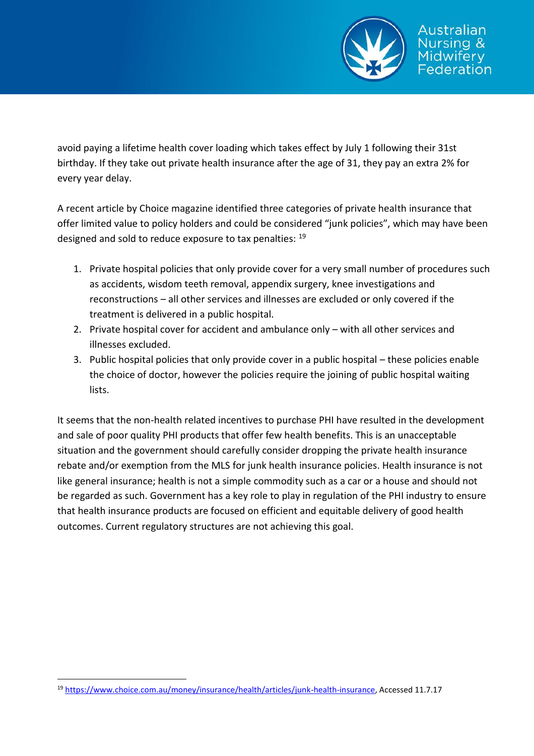

avoid paying a lifetime health cover loading which takes effect by July 1 following their 31st birthday. If they take out private health insurance after the age of 31, they pay an extra 2% for every year delay.

A recent article by Choice magazine identified three categories of private health insurance that offer limited value to policy holders and could be considered "junk policies", which may have been designed and sold to reduce exposure to tax penalties: <sup>19</sup>

- 1. Private hospital policies that only provide cover for a very small number of procedures such as accidents, wisdom teeth removal, appendix surgery, knee investigations and reconstructions – all other services and illnesses are excluded or only covered if the treatment is delivered in a public hospital.
- 2. Private hospital cover for accident and ambulance only with all other services and illnesses excluded.
- 3. Public hospital policies that only provide cover in a public hospital these policies enable the choice of doctor, however the policies require the joining of public hospital waiting lists.

It seems that the non-health related incentives to purchase PHI have resulted in the development and sale of poor quality PHI products that offer few health benefits. This is an unacceptable situation and the government should carefully consider dropping the private health insurance rebate and/or exemption from the MLS for junk health insurance policies. Health insurance is not like general insurance; health is not a simple commodity such as a car or a house and should not be regarded as such. Government has a key role to play in regulation of the PHI industry to ensure that health insurance products are focused on efficient and equitable delivery of good health outcomes. Current regulatory structures are not achieving this goal.

<sup>19</sup> [https://www.choice.com.au/money/insurance/health/articles/junk-health-insurance,](https://www.choice.com.au/money/insurance/health/articles/junk-health-insurance) Accessed 11.7.17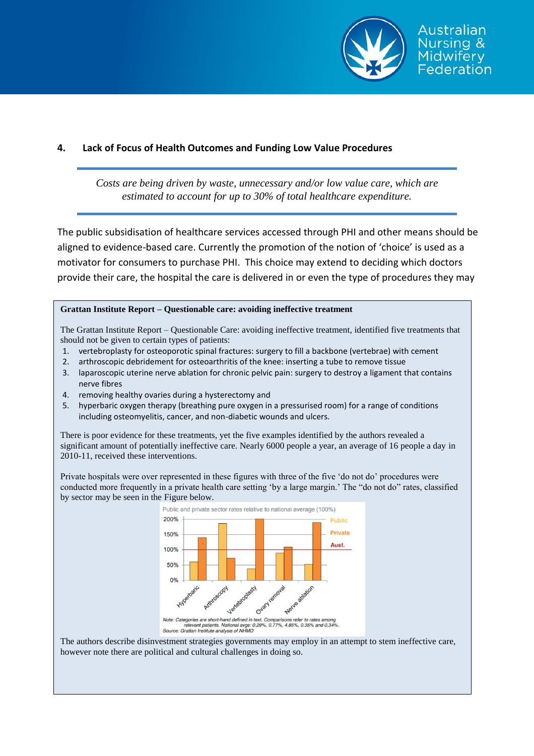

#### **4. Lack of Focus of Health Outcomes and Funding Low Value Procedures**

*Costs are being driven by waste, unnecessary and/or low value care, which are estimated to account for up to 30% of total healthcare expenditure.*

The public subsidisation of healthcare services accessed through PHI and other means should be aligned to evidence-based care. Currently the promotion of the notion of 'choice' is used as a motivator for consumers to purchase PHI. This choice may extend to deciding which doctors provide their care, the hospital the care is delivered in or even the type of procedures they may

#### **Grattan Institute Report – Questionable care: avoiding ineffective treatment**

The Grattan Institute Report – Questionable Care: avoiding ineffective treatment, identified five treatments that should not be given to certain types of patients:

- 1. vertebroplasty for osteoporotic spinal fractures: surgery to fill a backbone (vertebrae) with cement
- 2. arthroscopic debridement for osteoarthritis of the knee: inserting a tube to remove tissue
- 3. laparoscopic uterine nerve ablation for chronic pelvic pain: surgery to destroy a ligament that contains nerve fibres
- 4. removing healthy ovaries during a hysterectomy and
- 5. hyperbaric oxygen therapy (breathing pure oxygen in a pressurised room) for a range of conditions including osteomyelitis, cancer, and non-diabetic wounds and ulcers.

There is poor evidence for these treatments, yet the five examples identified by the authors revealed a significant amount of potentially ineffective care. Nearly 6000 people a year, an average of 16 people a day in 2010-11, received these interventions.

Private hospitals were over represented in these figures with three of the five 'do not do' procedures were conducted more frequently in a private health care setting 'by a large margin.' The "do not do" rates, classified by sector may be seen in the Figure below.



Note: Categories are short-hand defined in text. Comparisons refer to rates among<br>relevant patients. National avgs: 0.29%, 0.77%, 4.85%, 0.35% and 0.34%<br>Source: Grattan Institute analysis of NHMD

The authors describe disinvestment strategies governments may employ in an attempt to stem ineffective care, however note there are political and cultural challenges in doing so.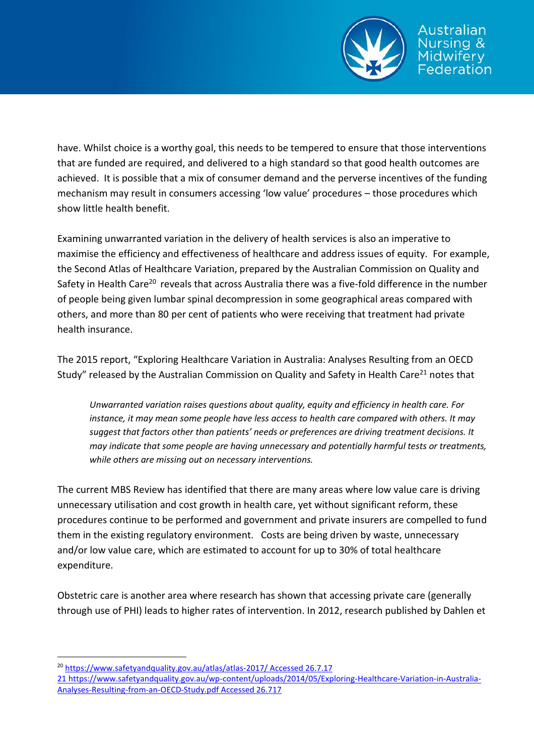

have. Whilst choice is a worthy goal, this needs to be tempered to ensure that those interventions that are funded are required, and delivered to a high standard so that good health outcomes are achieved. It is possible that a mix of consumer demand and the perverse incentives of the funding mechanism may result in consumers accessing 'low value' procedures – those procedures which show little health benefit.

Examining unwarranted variation in the delivery of health services is also an imperative to maximise the efficiency and effectiveness of healthcare and address issues of equity. For example, the Second Atlas of Healthcare Variation, prepared by the Australian Commission on Quality and Safety in Health Care<sup>20</sup> reveals that across Australia there was a five-fold difference in the number of people being given lumbar spinal decompression in some geographical areas compared with others, and more than 80 per cent of patients who were receiving that treatment had private health insurance.

The 2015 report, "Exploring Healthcare Variation in Australia: Analyses Resulting from an OECD Study" released by the Australian Commission on Quality and Safety in Health Care<sup>21</sup> notes that

*Unwarranted variation raises questions about quality, equity and efficiency in health care. For instance, it may mean some people have less access to health care compared with others. It may suggest that factors other than patients' needs or preferences are driving treatment decisions. It may indicate that some people are having unnecessary and potentially harmful tests or treatments, while others are missing out on necessary interventions.*

The current MBS Review has identified that there are many areas where low value care is driving unnecessary utilisation and cost growth in health care, yet without significant reform, these procedures continue to be performed and government and private insurers are compelled to fund them in the existing regulatory environment. Costs are being driven by waste, unnecessary and/or low value care, which are estimated to account for up to 30% of total healthcare expenditure.

Obstetric care is another area where research has shown that accessing private care (generally through use of PHI) leads to higher rates of intervention. In 2012, research published by Dahlen et

<sup>20</sup> <https://www.safetyandquality.gov.au/atlas/atlas-2017/> Accessed 26.7.17

<sup>21</sup> [https://www.safetyandquality.gov.au/wp-content/uploads/2014/05/Exploring-Healthcare-Variation-in-Australia-](https://www.safetyandquality.gov.au/wp-content/uploads/2014/05/Exploring-Healthcare-Variation-in-Australia-Analyses-Resulting-from-an-OECD-Study.pdf)[Analyses-Resulting-from-an-OECD-Study.pdf](https://www.safetyandquality.gov.au/wp-content/uploads/2014/05/Exploring-Healthcare-Variation-in-Australia-Analyses-Resulting-from-an-OECD-Study.pdf) Accessed 26.717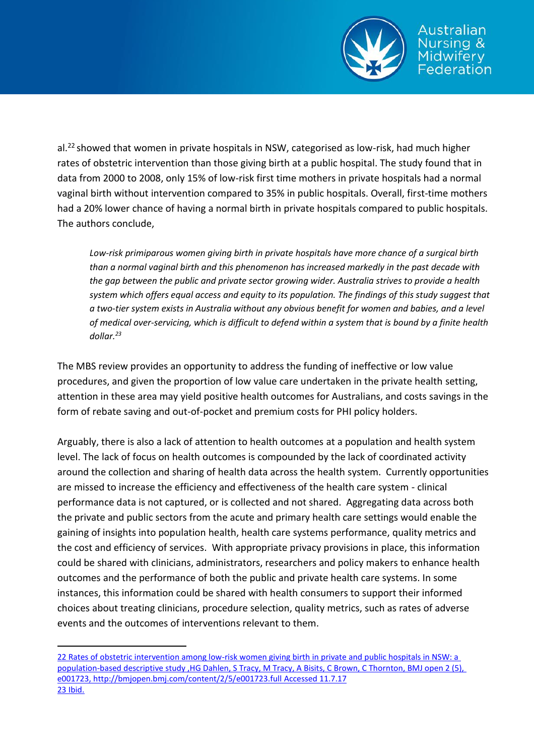

al.<sup>22</sup> showed that women in private hospitals in NSW, categorised as low-risk, had much higher rates of obstetric intervention than those giving birth at a public hospital. The study found that in data from 2000 to 2008, only 15% of low-risk first time mothers in private hospitals had a normal vaginal birth without intervention compared to 35% in public hospitals. Overall, first-time mothers had a 20% lower chance of having a normal birth in private hospitals compared to public hospitals. The authors conclude,

*Low-risk primiparous women giving birth in private hospitals have more chance of a surgical birth than a normal vaginal birth and this phenomenon has increased markedly in the past decade with the gap between the public and private sector growing wider. Australia strives to provide a health system which offers equal access and equity to its population. The findings of this study suggest that a two-tier system exists in Australia without any obvious benefit for women and babies, and a level of medical over-servicing, which is difficult to defend within a system that is bound by a finite health dollar. 23*

The MBS review provides an opportunity to address the funding of ineffective or low value procedures, and given the proportion of low value care undertaken in the private health setting, attention in these area may yield positive health outcomes for Australians, and costs savings in the form of rebate saving and out-of-pocket and premium costs for PHI policy holders.

Arguably, there is also a lack of attention to health outcomes at a population and health system level. The lack of focus on health outcomes is compounded by the lack of coordinated activity around the collection and sharing of health data across the health system. Currently opportunities are missed to increase the efficiency and effectiveness of the health care system - clinical performance data is not captured, or is collected and not shared. Aggregating data across both the private and public sectors from the acute and primary health care settings would enable the gaining of insights into population health, health care systems performance, quality metrics and the cost and efficiency of services. With appropriate privacy provisions in place, this information could be shared with clinicians, administrators, researchers and policy makers to enhance health outcomes and the performance of both the public and private health care systems. In some instances, this information could be shared with health consumers to support their informed choices about treating clinicians, procedure selection, quality metrics, such as rates of adverse events and the outcomes of interventions relevant to them.

<sup>22</sup> Rates of obstetric intervention among low-risk women giving birth in private and public hospitals in NSW: a population-based descriptive study ,HG Dahlen, S Tracy, M Tracy, A Bisits, C Brown, C Thornton, BMJ open 2 (5), e001723,<http://bmjopen.bmj.com/content/2/5/e001723.full> Accessed 11.7.17 23 Ibid.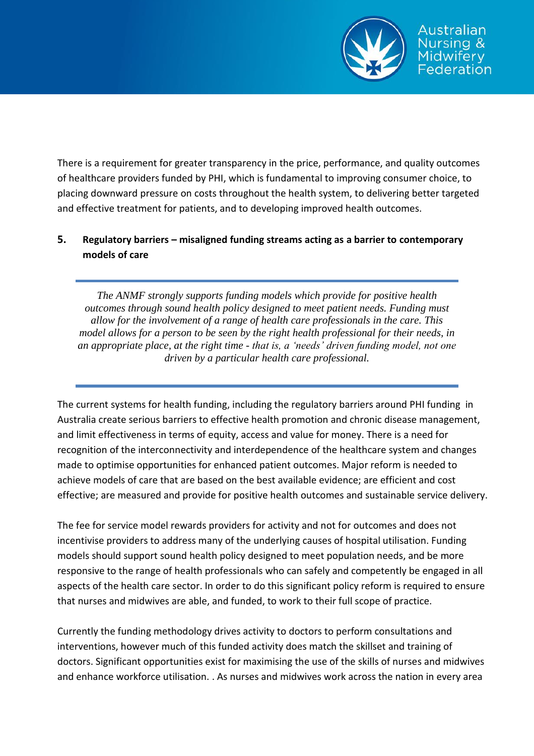

There is a requirement for greater transparency in the price, performance, and quality outcomes of healthcare providers funded by PHI, which is fundamental to improving consumer choice, to placing downward pressure on costs throughout the health system, to delivering better targeted and effective treatment for patients, and to developing improved health outcomes.

# **5. Regulatory barriers – misaligned funding streams acting as a barrier to contemporary models of care**

*The ANMF strongly supports funding models which provide for positive health outcomes through sound health policy designed to meet patient needs. Funding must allow for the involvement of a range of health care professionals in the care. This model allows for a person to be seen by the right health professional for their needs, in an appropriate place, at the right time - that is, a 'needs' driven funding model, not one driven by a particular health care professional.*

The current systems for health funding, including the regulatory barriers around PHI funding in Australia create serious barriers to effective health promotion and chronic disease management, and limit effectiveness in terms of equity, access and value for money. There is a need for recognition of the interconnectivity and interdependence of the healthcare system and changes made to optimise opportunities for enhanced patient outcomes. Major reform is needed to achieve models of care that are based on the best available evidence; are efficient and cost effective; are measured and provide for positive health outcomes and sustainable service delivery.

The fee for service model rewards providers for activity and not for outcomes and does not incentivise providers to address many of the underlying causes of hospital utilisation. Funding models should support sound health policy designed to meet population needs, and be more responsive to the range of health professionals who can safely and competently be engaged in all aspects of the health care sector. In order to do this significant policy reform is required to ensure that nurses and midwives are able, and funded, to work to their full scope of practice.

Currently the funding methodology drives activity to doctors to perform consultations and interventions, however much of this funded activity does match the skillset and training of doctors. Significant opportunities exist for maximising the use of the skills of nurses and midwives and enhance workforce utilisation. . As nurses and midwives work across the nation in every area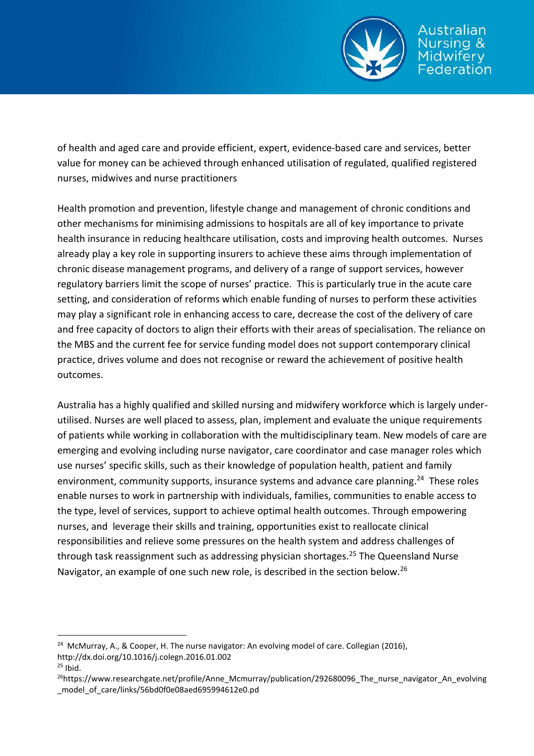

sing & idwiferv ederation

of health and aged care and provide efficient, expert, evidence-based care and services, better value for money can be achieved through enhanced utilisation of regulated, qualified registered nurses, midwives and nurse practitioners

Health promotion and prevention, lifestyle change and management of chronic conditions and other mechanisms for minimising admissions to hospitals are all of key importance to private health insurance in reducing healthcare utilisation, costs and improving health outcomes. Nurses already play a key role in supporting insurers to achieve these aims through implementation of chronic disease management programs, and delivery of a range of support services, however regulatory barriers limit the scope of nurses' practice. This is particularly true in the acute care setting, and consideration of reforms which enable funding of nurses to perform these activities may play a significant role in enhancing access to care, decrease the cost of the delivery of care and free capacity of doctors to align their efforts with their areas of specialisation. The reliance on the MBS and the current fee for service funding model does not support contemporary clinical practice, drives volume and does not recognise or reward the achievement of positive health outcomes.

Australia has a highly qualified and skilled nursing and midwifery workforce which is largely underutilised. Nurses are well placed to assess, plan, implement and evaluate the unique requirements of patients while working in collaboration with the multidisciplinary team. New models of care are emerging and evolving including nurse navigator, care coordinator and case manager roles which use nurses' specific skills, such as their knowledge of population health, patient and family environment, community supports, insurance systems and advance care planning.<sup>24</sup> These roles enable nurses to work in partnership with individuals, families, communities to enable access to the type, level of services, support to achieve optimal health outcomes. Through empowering nurses, and leverage their skills and training, opportunities exist to reallocate clinical responsibilities and relieve some pressures on the health system and address challenges of through task reassignment such as addressing physician shortages.<sup>25</sup> The Queensland Nurse Navigator, an example of one such new role, is described in the section below.<sup>26</sup>

<sup>&</sup>lt;sup>24</sup> McMurray, A., & Cooper, H. The nurse navigator: An evolving model of care. Collegian (2016), http://dx.doi.org/10.1016/j.colegn.2016.01.002

 $25$  Ibid.

<sup>&</sup>lt;sup>26</sup>https://www.researchgate.net/profile/Anne\_Mcmurray/publication/292680096\_The\_nurse\_navigator\_An\_evolving \_model\_of\_care/links/56bd0f0e08aed695994612e0.pd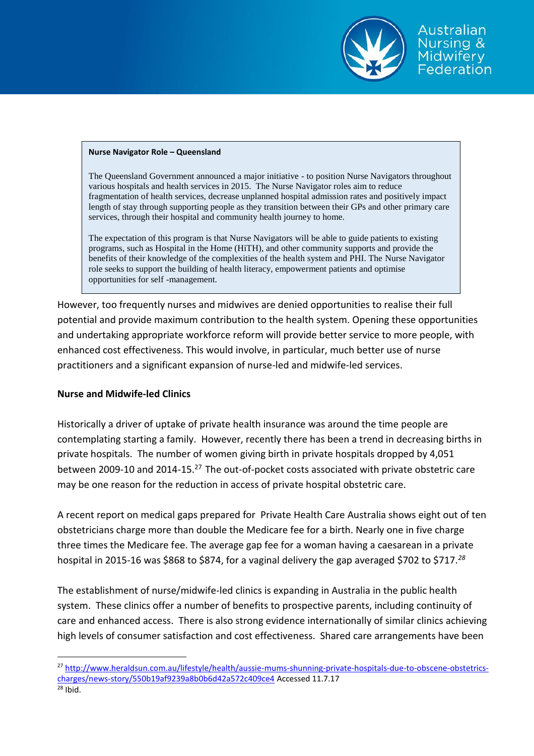

#### **Nurse Navigator Role – Queensland**

The Queensland Government announced a major initiative - to position Nurse Navigators throughout various hospitals and health services in 2015. The Nurse Navigator roles aim to reduce fragmentation of health services, decrease unplanned hospital admission rates and positively impact length of stay through supporting people as they transition between their GPs and other primary care services, through their hospital and community health journey to home.

The expectation of this program is that Nurse Navigators will be able to guide patients to existing programs, such as Hospital in the Home (HiTH), and other community supports and provide the benefits of their knowledge of the complexities of the health system and PHI. The Nurse Navigator role seeks to support the building of health literacy, empowerment patients and optimise opportunities for self -management.

However, too frequently nurses and midwives are denied opportunities to realise their full potential and provide maximum contribution to the health system. Opening these opportunities and undertaking appropriate workforce reform will provide better service to more people, with enhanced cost effectiveness. This would involve, in particular, much better use of nurse practitioners and a significant expansion of nurse-led and midwife-led services.

#### **Nurse and Midwife-led Clinics**

Historically a driver of uptake of private health insurance was around the time people are contemplating starting a family. However, recently there has been a trend in decreasing births in private hospitals. The number of women giving birth in private hospitals dropped by 4,051 between 2009-10 and 2014-15.<sup>27</sup> The out-of-pocket costs associated with private obstetric care may be one reason for the reduction in access of private hospital obstetric care.

A recent report on medical gaps prepared for Private Health Care Australia shows eight out of ten obstetricians charge more than double the Medicare fee for a birth. Nearly one in five charge three times the Medicare fee. The average gap fee for a woman having a caesarean in a private hospital in 2015-16 was \$868 to \$874, for a vaginal delivery the gap averaged \$702 to \$717.*<sup>28</sup>*

The establishment of nurse/midwife-led clinics is expanding in Australia in the public health system. These clinics offer a number of benefits to prospective parents, including continuity of care and enhanced access. There is also strong evidence internationally of similar clinics achieving high levels of consumer satisfaction and cost effectiveness. Shared care arrangements have been

<sup>&</sup>lt;sup>27</sup> [http://www.heraldsun.com.au/lifestyle/health/aussie-mums-shunning-private-hospitals-due-to-obscene-obstetrics](http://www.heraldsun.com.au/lifestyle/health/aussie-mums-shunning-private-hospitals-due-to-obscene-obstetrics-charges/news-story/550b19af9239a8b0b6d42a572c409ce4)[charges/news-story/550b19af9239a8b0b6d42a572c409ce4](http://www.heraldsun.com.au/lifestyle/health/aussie-mums-shunning-private-hospitals-due-to-obscene-obstetrics-charges/news-story/550b19af9239a8b0b6d42a572c409ce4) Accessed 11.7.17  $28$  Ibid.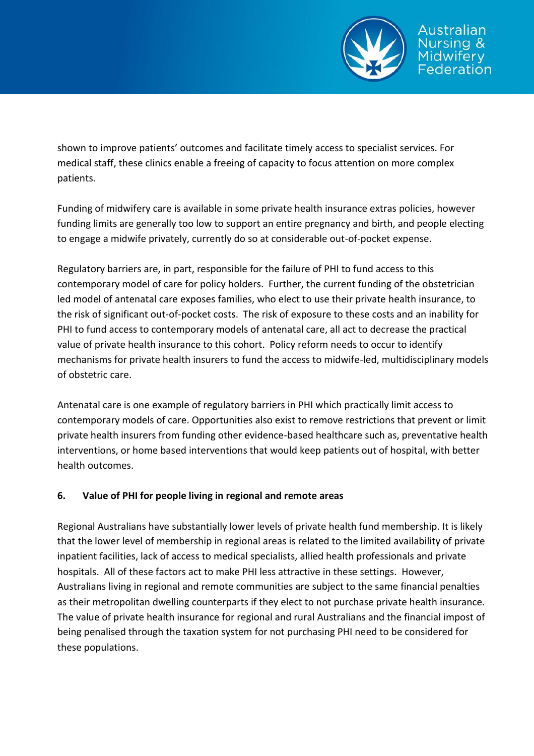

shown to improve patients' outcomes and facilitate timely access to specialist services. For medical staff, these clinics enable a freeing of capacity to focus attention on more complex patients.

Funding of midwifery care is available in some private health insurance extras policies, however funding limits are generally too low to support an entire pregnancy and birth, and people electing to engage a midwife privately, currently do so at considerable out-of-pocket expense.

Regulatory barriers are, in part, responsible for the failure of PHI to fund access to this contemporary model of care for policy holders. Further, the current funding of the obstetrician led model of antenatal care exposes families, who elect to use their private health insurance, to the risk of significant out-of-pocket costs. The risk of exposure to these costs and an inability for PHI to fund access to contemporary models of antenatal care, all act to decrease the practical value of private health insurance to this cohort. Policy reform needs to occur to identify mechanisms for private health insurers to fund the access to midwife-led, multidisciplinary models of obstetric care.

Antenatal care is one example of regulatory barriers in PHI which practically limit access to contemporary models of care. Opportunities also exist to remove restrictions that prevent or limit private health insurers from funding other evidence-based healthcare such as, preventative health interventions, or home based interventions that would keep patients out of hospital, with better health outcomes.

## **6. Value of PHI for people living in regional and remote areas**

Regional Australians have substantially lower levels of private health fund membership. It is likely that the lower level of membership in regional areas is related to the limited availability of private inpatient facilities, lack of access to medical specialists, allied health professionals and private hospitals. All of these factors act to make PHI less attractive in these settings. However, Australians living in regional and remote communities are subject to the same financial penalties as their metropolitan dwelling counterparts if they elect to not purchase private health insurance. The value of private health insurance for regional and rural Australians and the financial impost of being penalised through the taxation system for not purchasing PHI need to be considered for these populations.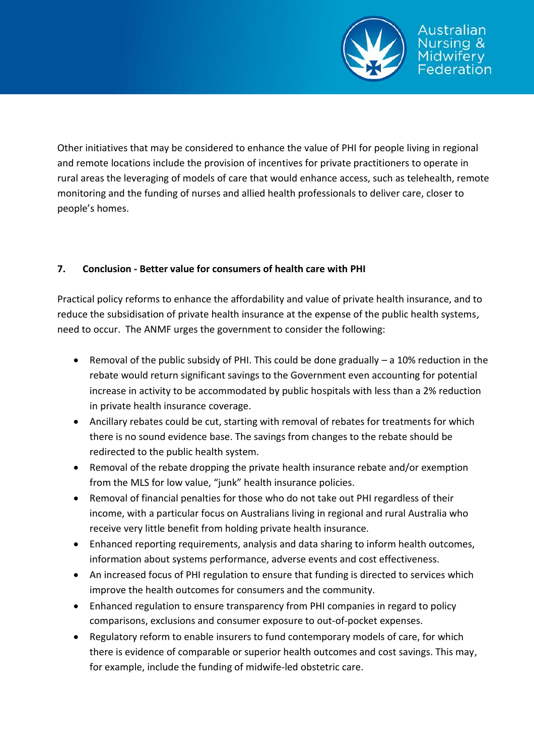

Other initiatives that may be considered to enhance the value of PHI for people living in regional and remote locations include the provision of incentives for private practitioners to operate in rural areas the leveraging of models of care that would enhance access, such as telehealth, remote monitoring and the funding of nurses and allied health professionals to deliver care, closer to people's homes.

# **7. Conclusion - Better value for consumers of health care with PHI**

Practical policy reforms to enhance the affordability and value of private health insurance, and to reduce the subsidisation of private health insurance at the expense of the public health systems, need to occur. The ANMF urges the government to consider the following:

- Removal of the public subsidy of PHI. This could be done gradually a 10% reduction in the rebate would return significant savings to the Government even accounting for potential increase in activity to be accommodated by public hospitals with less than a 2% reduction in private health insurance coverage.
- Ancillary rebates could be cut, starting with removal of rebates for treatments for which there is no sound evidence base. The savings from changes to the rebate should be redirected to the public health system.
- Removal of the rebate dropping the private health insurance rebate and/or exemption from the MLS for low value, "junk" health insurance policies.
- Removal of financial penalties for those who do not take out PHI regardless of their income, with a particular focus on Australians living in regional and rural Australia who receive very little benefit from holding private health insurance.
- Enhanced reporting requirements, analysis and data sharing to inform health outcomes, information about systems performance, adverse events and cost effectiveness.
- An increased focus of PHI regulation to ensure that funding is directed to services which improve the health outcomes for consumers and the community.
- Enhanced regulation to ensure transparency from PHI companies in regard to policy comparisons, exclusions and consumer exposure to out-of-pocket expenses.
- Regulatory reform to enable insurers to fund contemporary models of care, for which there is evidence of comparable or superior health outcomes and cost savings. This may, for example, include the funding of midwife-led obstetric care.